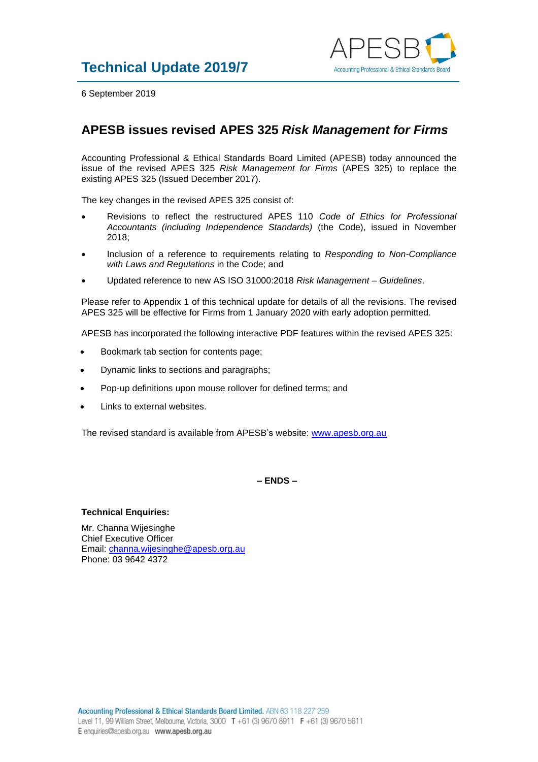

6 September 2019

## **APESB issues revised APES 325** *Risk Management for Firms*

Accounting Professional & Ethical Standards Board Limited (APESB) today announced the issue of the revised APES 325 *Risk Management for Firms* (APES 325) to replace the existing APES 325 (Issued December 2017).

The key changes in the revised APES 325 consist of:

- Revisions to reflect the restructured APES 110 *Code of Ethics for Professional Accountants (including Independence Standards)* (the Code), issued in November 2018;
- Inclusion of a reference to requirements relating to *Responding to Non-Compliance with Laws and Regulations* in the Code; and
- Updated reference to new AS ISO 31000:2018 *Risk Management – Guidelines*.

Please refer to Appendix 1 of this technical update for details of all the revisions. The revised APES 325 will be effective for Firms from 1 January 2020 with early adoption permitted.

APESB has incorporated the following interactive PDF features within the revised APES 325:

- Bookmark tab section for contents page;
- Dynamic links to sections and paragraphs;
- Pop-up definitions upon mouse rollover for defined terms; and
- Links to external websites.

The revised standard is available from APESB's website: [www.apesb.org.au](http://www.apesb.org.au/)

**– ENDS –**

## **Technical Enquiries:**

Mr. Channa Wijesinghe Chief Executive Officer Email: [channa.wijesinghe@apesb.org.au](mailto:channa.wijesinghe@apesb.org.au) Phone: 03 9642 4372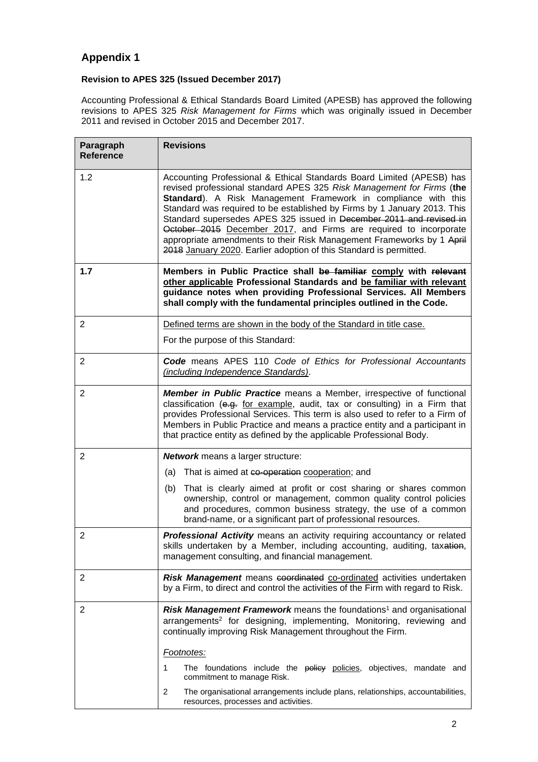## **Appendix 1**

## **Revision to APES 325 (Issued December 2017)**

Accounting Professional & Ethical Standards Board Limited (APESB) has approved the following revisions to APES 325 *Risk Management for Firms* which was originally issued in December 2011 and revised in October 2015 and December 2017.

| Paragraph<br><b>Reference</b> | <b>Revisions</b>                                                                                                                                                                                                                                                                                                                                                                                                                                                                                                                                                                        |
|-------------------------------|-----------------------------------------------------------------------------------------------------------------------------------------------------------------------------------------------------------------------------------------------------------------------------------------------------------------------------------------------------------------------------------------------------------------------------------------------------------------------------------------------------------------------------------------------------------------------------------------|
| 1.2                           | Accounting Professional & Ethical Standards Board Limited (APESB) has<br>revised professional standard APES 325 Risk Management for Firms (the<br>Standard). A Risk Management Framework in compliance with this<br>Standard was required to be established by Firms by 1 January 2013. This<br>Standard supersedes APES 325 issued in December 2011 and revised in<br>October 2015 December 2017, and Firms are required to incorporate<br>appropriate amendments to their Risk Management Frameworks by 1 April<br>2018 January 2020. Earlier adoption of this Standard is permitted. |
| 1.7                           | Members in Public Practice shall be familiar comply with relevant<br>other applicable Professional Standards and be familiar with relevant<br>guidance notes when providing Professional Services. All Members<br>shall comply with the fundamental principles outlined in the Code.                                                                                                                                                                                                                                                                                                    |
| 2                             | Defined terms are shown in the body of the Standard in title case.<br>For the purpose of this Standard:                                                                                                                                                                                                                                                                                                                                                                                                                                                                                 |
| 2                             | Code means APES 110 Code of Ethics for Professional Accountants<br>(including Independence Standards).                                                                                                                                                                                                                                                                                                                                                                                                                                                                                  |
| $\overline{2}$                | <b>Member in Public Practice</b> means a Member, irrespective of functional<br>classification (e.g. for example, audit, tax or consulting) in a Firm that<br>provides Professional Services. This term is also used to refer to a Firm of<br>Members in Public Practice and means a practice entity and a participant in<br>that practice entity as defined by the applicable Professional Body.                                                                                                                                                                                        |
| 2                             | <b>Network</b> means a larger structure:                                                                                                                                                                                                                                                                                                                                                                                                                                                                                                                                                |
|                               | (a) That is aimed at co-operation cooperation; and<br>(b) That is clearly aimed at profit or cost sharing or shares common<br>ownership, control or management, common quality control policies<br>and procedures, common business strategy, the use of a common<br>brand-name, or a significant part of professional resources.                                                                                                                                                                                                                                                        |
| $\overline{2}$                | Professional Activity means an activity requiring accountancy or related<br>skills undertaken by a Member, including accounting, auditing, taxation,<br>management consulting, and financial management.                                                                                                                                                                                                                                                                                                                                                                                |
| $\overline{2}$                | Risk Management means coordinated co-ordinated activities undertaken<br>by a Firm, to direct and control the activities of the Firm with regard to Risk.                                                                                                                                                                                                                                                                                                                                                                                                                                |
| $\overline{2}$                | Risk Management Framework means the foundations <sup>1</sup> and organisational<br>arrangements <sup>2</sup> for designing, implementing, Monitoring, reviewing and<br>continually improving Risk Management throughout the Firm.                                                                                                                                                                                                                                                                                                                                                       |
|                               | Footnotes:                                                                                                                                                                                                                                                                                                                                                                                                                                                                                                                                                                              |
|                               | The foundations include the policy policies, objectives, mandate and<br>1<br>commitment to manage Risk.                                                                                                                                                                                                                                                                                                                                                                                                                                                                                 |
|                               | 2<br>The organisational arrangements include plans, relationships, accountabilities,<br>resources, processes and activities.                                                                                                                                                                                                                                                                                                                                                                                                                                                            |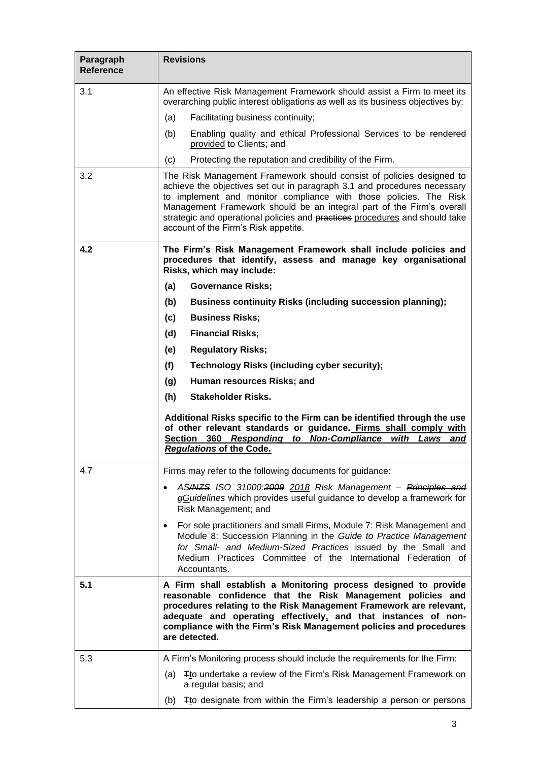| Paragraph<br><b>Reference</b> | <b>Revisions</b>                                                                                                                                                                                                                                                                                                                                                                                                      |
|-------------------------------|-----------------------------------------------------------------------------------------------------------------------------------------------------------------------------------------------------------------------------------------------------------------------------------------------------------------------------------------------------------------------------------------------------------------------|
| 3.1                           | An effective Risk Management Framework should assist a Firm to meet its<br>overarching public interest obligations as well as its business objectives by:                                                                                                                                                                                                                                                             |
|                               | (a)<br>Facilitating business continuity;                                                                                                                                                                                                                                                                                                                                                                              |
|                               | (b)<br>Enabling quality and ethical Professional Services to be rendered<br>provided to Clients; and                                                                                                                                                                                                                                                                                                                  |
|                               | (c)<br>Protecting the reputation and credibility of the Firm.                                                                                                                                                                                                                                                                                                                                                         |
| 3.2                           | The Risk Management Framework should consist of policies designed to<br>achieve the objectives set out in paragraph 3.1 and procedures necessary<br>to implement and monitor compliance with those policies. The Risk<br>Management Framework should be an integral part of the Firm's overall<br>strategic and operational policies and practices procedures and should take<br>account of the Firm's Risk appetite. |
| 4.2                           | The Firm's Risk Management Framework shall include policies and<br>procedures that identify, assess and manage key organisational<br>Risks, which may include:                                                                                                                                                                                                                                                        |
|                               | (a)<br><b>Governance Risks;</b>                                                                                                                                                                                                                                                                                                                                                                                       |
|                               | (b)<br><b>Business continuity Risks (including succession planning);</b>                                                                                                                                                                                                                                                                                                                                              |
|                               | <b>Business Risks;</b><br>(c)                                                                                                                                                                                                                                                                                                                                                                                         |
|                               | (d)<br><b>Financial Risks;</b>                                                                                                                                                                                                                                                                                                                                                                                        |
|                               | (e)<br><b>Regulatory Risks;</b>                                                                                                                                                                                                                                                                                                                                                                                       |
|                               | (f)<br><b>Technology Risks (including cyber security);</b>                                                                                                                                                                                                                                                                                                                                                            |
|                               | (g)<br>Human resources Risks; and                                                                                                                                                                                                                                                                                                                                                                                     |
|                               | (h)<br><b>Stakeholder Risks.</b>                                                                                                                                                                                                                                                                                                                                                                                      |
|                               | Additional Risks specific to the Firm can be identified through the use<br>of other relevant standards or guidance. Firms shall comply with<br>360 Responding to Non-Compliance<br>Section<br><u>with</u><br>Laws<br>and<br><b>Regulations of the Code.</b>                                                                                                                                                           |
| 4.7                           | Firms may refer to the following documents for guidance:                                                                                                                                                                                                                                                                                                                                                              |
|                               | AS/NZS ISO 31000:2009 2018 Risk Management - Principles and<br>gGuidelines which provides useful guidance to develop a framework for<br>Risk Management; and                                                                                                                                                                                                                                                          |
|                               | For sole practitioners and small Firms, Module 7: Risk Management and<br>Module 8: Succession Planning in the Guide to Practice Management<br>for Small- and Medium-Sized Practices issued by the Small and<br>Medium Practices Committee of the International Federation of<br>Accountants.                                                                                                                          |
| 5.1                           | A Firm shall establish a Monitoring process designed to provide<br>reasonable confidence that the Risk Management policies and<br>procedures relating to the Risk Management Framework are relevant,<br>adequate and operating effectively, and that instances of non-<br>compliance with the Firm's Risk Management policies and procedures<br>are detected.                                                         |
| 5.3                           | A Firm's Monitoring process should include the requirements for the Firm:                                                                                                                                                                                                                                                                                                                                             |
|                               | Tto undertake a review of the Firm's Risk Management Framework on<br>(a)<br>a regular basis; and                                                                                                                                                                                                                                                                                                                      |
|                               | Tto designate from within the Firm's leadership a person or persons<br>(b)                                                                                                                                                                                                                                                                                                                                            |